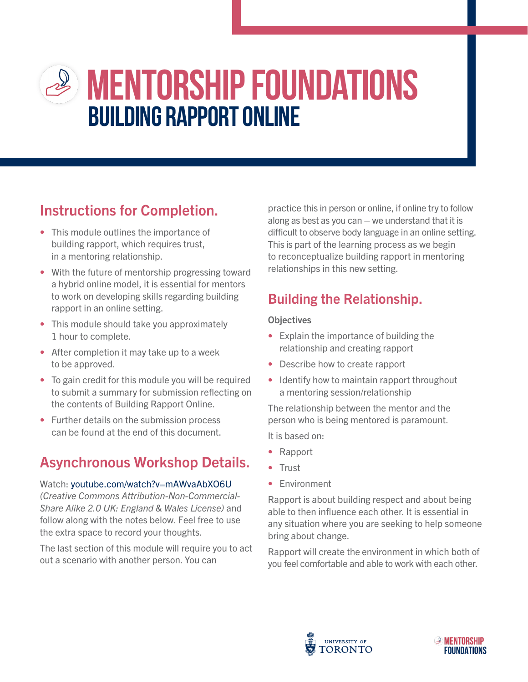# **mentorship foundations Building Rapport online**

### Instructions for Completion.

- This module outlines the importance of building rapport, which requires trust, in a mentoring relationship.
- With the future of mentorship progressing toward a hybrid online model, it is essential for mentors to work on developing skills regarding building rapport in an online setting.
- This module should take you approximately 1 hour to complete.
- After completion it may take up to a week to be approved.
- To gain credit for this module you will be required to submit a summary for submission reflecting on the contents of Building Rapport Online.
- Further details on the submission process can be found at the end of this document.

# Asynchronous Workshop Details.

#### Watch: youtube.com/watch?v=mAWvaAbXO6U

(Creative Commons Attribution-Non-Commercial-Share Alike 2.0 UK: England & Wales License) and follow along with the notes below. Feel free to use the extra space to record your thoughts.

The last section of this module will require you to act out a scenario with another person. You can

practice this in person or online, if online try to follow along as best as you can  $-$  we understand that it is difficult to observe body language in an online setting. This is part of the learning process as we begin to reconceptualize building rapport in mentoring relationships in this new setting.

### Building the Relationship.

#### **Objectives**

- Explain the importance of building the relationship and creating rapport
- Describe how to create rapport
- Identify how to maintain rapport throughout a mentoring session/relationship

The relationship between the mentor and the person who is being mentored is paramount.

It is based on:

- Rapport
- Trust
- Environment

Rapport is about building respect and about being able to then influence each other. It is essential in any situation where you are seeking to help someone bring about change.

Rapport will create the environment in which both of you feel comfortable and able to work with each other.



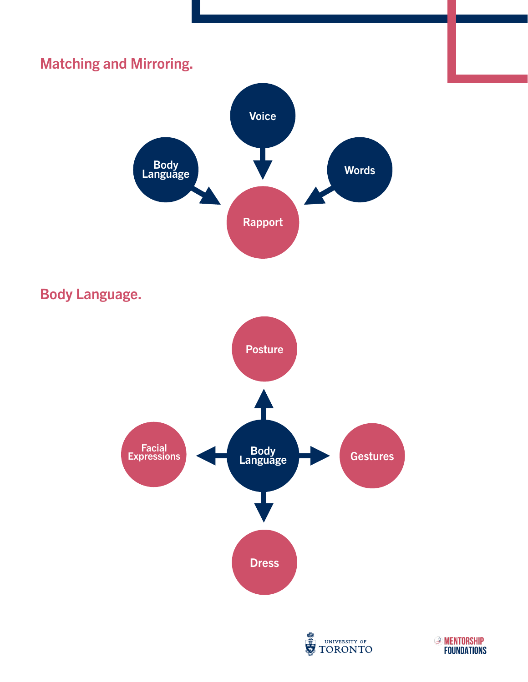

UNIVERSITY OF **TORONTO** 

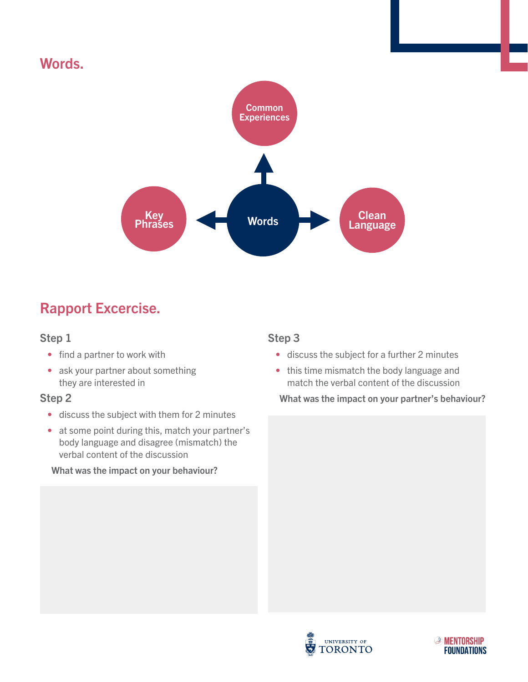### Words.



### Rapport Excercise.

#### Step 1

- find a partner to work with
- ask your partner about something they are interested in

#### Step 2

- discuss the subject with them for 2 minutes
- at some point during this, match your partner's body language and disagree (mismatch) the verbal content of the discussion

#### What was the impact on your behaviour?

#### Step 3

- discuss the subject for a further 2 minutes
- this time mismatch the body language and match the verbal content of the discussion

What was the impact on your partner's behaviour?



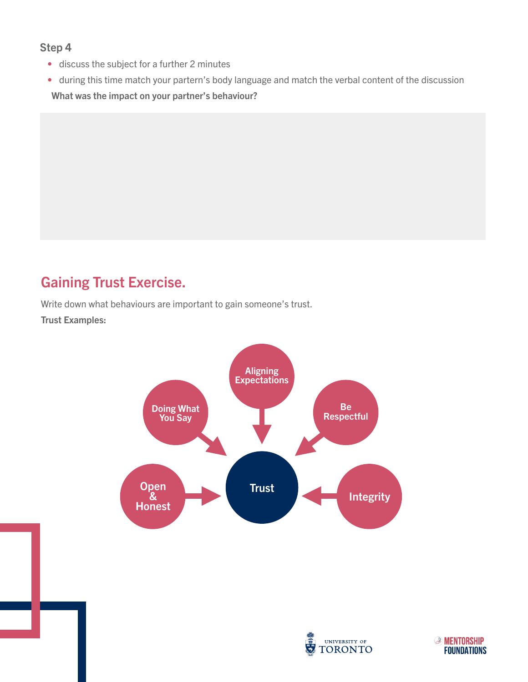#### Step 4

- discuss the subject for a further 2 minutes
- during this time match your partern's body language and match the verbal content of the discussion What was the impact on your partner's behaviour?

### Gaining Trust Exercise.

Write down what behaviours are important to gain someone's trust.

Trust Examples:





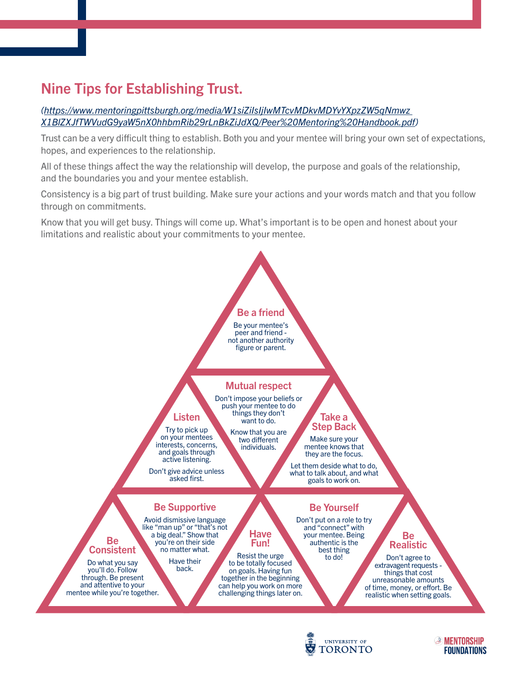### Nine Tips for Establishing Trust.

#### *([https://www.mentoringpittsburgh.org/media/W1siZiIsIjIwMTcvMDkvMDYvYXpzZW5qNmwz](https://www.mentoringpittsburgh.org/media/W1siZiIsIjIwMTcvMDkvMDYvYXpzZW5qNmwz X1BlZXJfTWVudG9yaW5nX0hhbmRib29rLnBkZiJdXQ/Peer%20Mentoring%20Handbook.pdf)  [X1BlZXJfTWVudG9yaW5nX0hhbmRib29rLnBkZiJdXQ/Peer%20Mentoring%20Handbook.pdf\)](https://www.mentoringpittsburgh.org/media/W1siZiIsIjIwMTcvMDkvMDYvYXpzZW5qNmwz X1BlZXJfTWVudG9yaW5nX0hhbmRib29rLnBkZiJdXQ/Peer%20Mentoring%20Handbook.pdf)*

Trust can be a very difficult thing to establish. Both you and your mentee will bring your own set of expectations, hopes, and experiences to the relationship.

All of these things affect the way the relationship will develop, the purpose and goals of the relationship, and the boundaries you and your mentee establish.

Consistency is a big part of trust building. Make sure your actions and your words match and that you follow through on commitments.

Know that you will get busy. Things will come up. What's important is to be open and honest about your limitations and realistic about your commitments to your mentee.





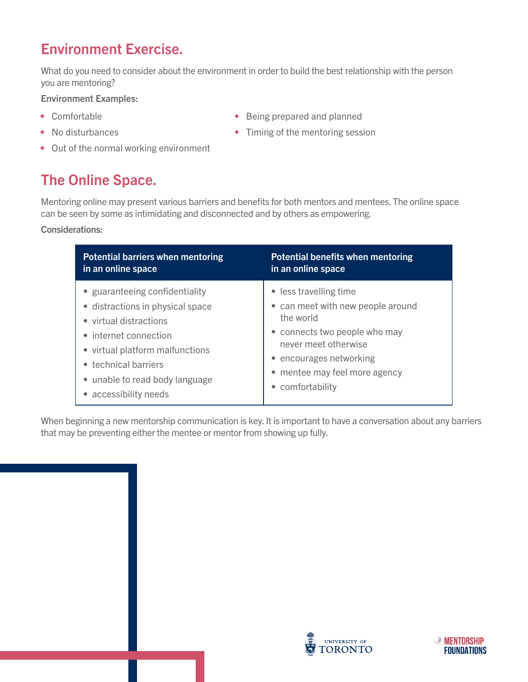### Environment Exercise.

What do you need to consider about the environment in order to build the best relationship with the person you are mentoring?

Environment Examples:

- Comfortable
- No disturbances
- Being prepared and planned
- Timing of the mentoring session
- Out of the normal working environment

# The Online Space.

Mentoring online may present various barriers and benefits for both mentors and mentees. The online space can be seen by some as intimidating and disconnected and by others as empowering.

#### Considerations:

| <b>Potential barriers when mentoring</b> | <b>Potential benefits when mentoring</b> |
|------------------------------------------|------------------------------------------|
| in an online space                       | in an online space                       |
| • guaranteeing confidentiality           | • less travelling time                   |
| • distractions in physical space         | • can meet with new people around        |
| • virtual distractions                   | the world                                |
| • internet connection                    | • connects two people who may            |
| • virtual platform malfunctions          | never meet otherwise                     |
| • technical barriers                     | • encourages networking                  |
| • unable to read body language           | • mentee may feel more agency            |
| accessibility needs                      | • comfortability                         |

When beginning a new mentorship communication is key. It is important to have a conversation about any barriers that may be preventing either the mentee or mentor from showing up fully.